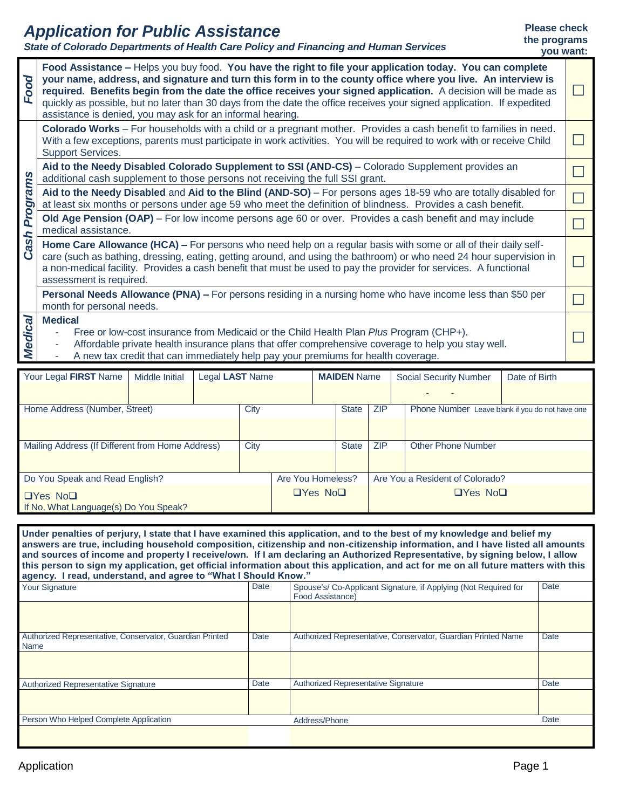## *Application for Public Assistance*

*State of Colorado Departments of Health Care Policy and Financing and Human Services*

### **Please check the programs**

|                | <u>Siale of Colorado Departments of Health Care Folley and Financing and Human Services</u>                                                                                                                                                                                                                                                                                                                                                                                                                                         | you want: |
|----------------|-------------------------------------------------------------------------------------------------------------------------------------------------------------------------------------------------------------------------------------------------------------------------------------------------------------------------------------------------------------------------------------------------------------------------------------------------------------------------------------------------------------------------------------|-----------|
| Food           | Food Assistance - Helps you buy food. You have the right to file your application today. You can complete<br>your name, address, and signature and turn this form in to the county office where you live. An interview is<br>required. Benefits begin from the date the office receives your signed application. A decision will be made as<br>quickly as possible, but no later than 30 days from the date the office receives your signed application. If expedited<br>assistance is denied, you may ask for an informal hearing. |           |
|                | Colorado Works – For households with a child or a pregnant mother. Provides a cash benefit to families in need.<br>With a few exceptions, parents must participate in work activities. You will be required to work with or receive Child<br><b>Support Services.</b>                                                                                                                                                                                                                                                               |           |
|                | Aid to the Needy Disabled Colorado Supplement to SSI (AND-CS) - Colorado Supplement provides an<br>additional cash supplement to those persons not receiving the full SSI grant.                                                                                                                                                                                                                                                                                                                                                    |           |
| Programs       | Aid to the Needy Disabled and Aid to the Blind (AND-SO) – For persons ages 18-59 who are totally disabled for<br>at least six months or persons under age 59 who meet the definition of blindness. Provides a cash benefit.                                                                                                                                                                                                                                                                                                         |           |
|                | Old Age Pension (OAP) – For low income persons age 60 or over. Provides a cash benefit and may include<br>medical assistance.                                                                                                                                                                                                                                                                                                                                                                                                       |           |
| Cash           | Home Care Allowance (HCA) – For persons who need help on a regular basis with some or all of their daily self-<br>care (such as bathing, dressing, eating, getting around, and using the bathroom) or who need 24 hour supervision in<br>a non-medical facility. Provides a cash benefit that must be used to pay the provider for services. A functional<br>assessment is required.                                                                                                                                                |           |
|                | Personal Needs Allowance (PNA) – For persons residing in a nursing home who have income less than \$50 per<br>month for personal needs.                                                                                                                                                                                                                                                                                                                                                                                             |           |
| <b>Medical</b> | <b>Medical</b><br>Free or low-cost insurance from Medicaid or the Child Health Plan Plus Program (CHP+).<br>Affordable private health insurance plans that offer comprehensive coverage to help you stay well.<br>A new tax credit that can immediately help pay your premiums for health coverage.                                                                                                                                                                                                                                 |           |

| Your Legal FIRST Name                                         | Middle Initial | Legal LAST Name |      |                   |                      | <b>MAIDEN</b> Name |                                                 | <b>Social Security Number</b> |                                 | Date of Birth |  |
|---------------------------------------------------------------|----------------|-----------------|------|-------------------|----------------------|--------------------|-------------------------------------------------|-------------------------------|---------------------------------|---------------|--|
|                                                               |                |                 |      |                   |                      |                    |                                                 |                               |                                 |               |  |
| Home Address (Number, Street)                                 | City           |                 |      | <b>State</b>      | <b>ZIP</b>           |                    | Phone Number Leave blank if you do not have one |                               |                                 |               |  |
|                                                               |                |                 |      |                   |                      |                    |                                                 |                               |                                 |               |  |
| Mailing Address (If Different from Home Address)              |                |                 | City |                   |                      | <b>State</b>       | 7IP                                             |                               | Other Phone Number              |               |  |
|                                                               |                |                 |      |                   |                      |                    |                                                 |                               |                                 |               |  |
| Do You Speak and Read English?                                |                |                 |      | Are You Homeless? |                      |                    |                                                 |                               | Are You a Resident of Colorado? |               |  |
| $\Box$ Yes No $\Box$<br>If No, What Language(s) Do You Speak? |                |                 |      |                   | $\Box$ Yes No $\Box$ |                    |                                                 | $\Box$ Yes No $\Box$          |                                 |               |  |

**Under penalties of perjury, I state that I have examined this application, and to the best of my knowledge and belief my answers are true, including household composition, citizenship and non-citizenship information, and I have listed all amounts and sources of income and property I receive/own. If I am declaring an Authorized Representative, by signing below, I allow this person to sign my application, get official information about this application, and act for me on all future matters with this agency. I read, understand, and agree to "What I Should Know."** Spouse's/ Co-Applicant Signature, if Applying (Not Required for Food Assistance) **Date** Authorized Representative, Conservator, Guardian Printed Name Date Authorized Representative, Conservator, Guardian Printed Name Date Authorized Representative Signature Date Authorized Representative Signature Date Date Person Who Helped Complete Application **Date Address/Phone** Address/Phone Date Date Date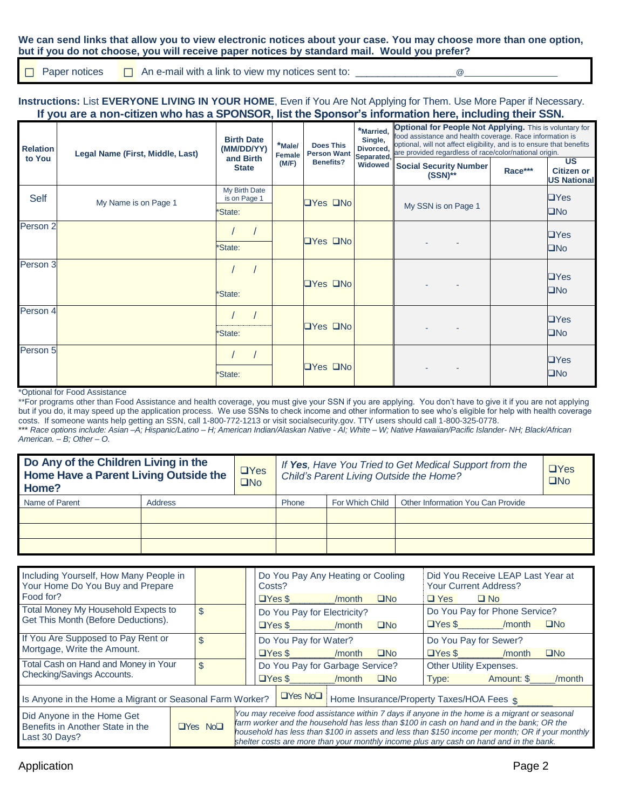#### **We can send links that allow you to view electronic notices about your case. You may choose more than one option, but if you do not choose, you will receive paper notices by standard mail. Would you prefer?**

Paper notices An e-mail with a link to view my notices sent to: \_\_\_\_\_\_\_\_\_\_\_\_\_\_\_\_\_\_@\_\_\_\_\_\_\_\_\_\_\_\_\_\_\_\_\_\_\_\_\_  $\Box$ 

**Instructions:** List **EVERYONE LIVING IN YOUR HOME**, Even if You Are Not Applying for Them. Use More Paper if Necessary.  **If you are a non-citizen who has a SPONSOR, list the Sponsor's information here, including their SSN.**

| <b>Relation</b><br>to You | Legal Name (First, Middle, Last) | <b>Birth Date</b><br>(MM/DD/YY)<br>and Birth | *Male/<br>Female | <b>Does This</b><br><b>Person Want</b> | *Married,<br>Single,<br>Divorced, | <b>Optional for People Not Applying.</b> This is voluntary for<br>food assistance and health coverage. Race information is<br>optional, will not affect eligibility, and is to ensure that benefits<br>Separated, are provided regardless of race/color/national origin. |         |                                                      |  |
|---------------------------|----------------------------------|----------------------------------------------|------------------|----------------------------------------|-----------------------------------|--------------------------------------------------------------------------------------------------------------------------------------------------------------------------------------------------------------------------------------------------------------------------|---------|------------------------------------------------------|--|
|                           |                                  | <b>State</b>                                 | (M/F)            | <b>Benefits?</b>                       | Widowed                           | Social Security Number<br>$(SSN)$ **                                                                                                                                                                                                                                     | Race*** | <b>US</b><br><b>Citizen or</b><br><b>US National</b> |  |
| Self                      | My Name is on Page 1             | My Birth Date<br>is on Page 1<br>*State:     |                  | $\Box$ Yes $\Box$ No                   |                                   | My SSN is on Page 1                                                                                                                                                                                                                                                      |         | $\Box$ Yes<br>$\square$ No                           |  |
| Person <sub>2</sub>       |                                  | *State:                                      |                  | $\Box$ Yes $\Box$ No                   |                                   |                                                                                                                                                                                                                                                                          |         | $\Box$ Yes<br>$\square$ No                           |  |
| Person 3                  |                                  | *State:                                      |                  | $\Box$ Yes $\Box$ No                   |                                   |                                                                                                                                                                                                                                                                          |         | $\Box$ Yes<br>$\square$ No                           |  |
| Person 4                  |                                  | *State:                                      |                  | $\Box$ Yes $\Box$ No                   |                                   |                                                                                                                                                                                                                                                                          |         | $\Box$ Yes<br>$\square$ No                           |  |
| Person 5                  |                                  | *State:                                      |                  | $\Box$ Yes $\Box$ No                   |                                   |                                                                                                                                                                                                                                                                          |         | $\Box$ Yes<br>$\square$ No                           |  |

\*Optional for Food Assistance

\*\*For programs other than Food Assistance and health coverage, you must give your SSN if you are applying. You don't have to give it if you are not applying but if you do, it may speed up the application process. We use SSNs to check income and other information to see who's eligible for help with health coverage costs. If someone wants help getting an SSN, call 1-800-772-1213 or visit socialsecurity.gov. TTY users should call 1-800-325-0778. \*\*\* *Race options include: Asian –A; Hispanic/Latino – H; American Indian/Alaskan Native - AI; White – W; Native Hawaiian/Pacific Islander- NH; Black/African American. – B; Other – O.*

| Do Any of the Children Living in the<br>Home Have a Parent Living Outside the<br>Home? |         | $\Box$ Yes<br>$\overline{\square}$ No | If Yes, Have You Tried to Get Medical Support from the<br>Child's Parent Living Outside the Home? | ⊔Yes<br><b>TNO</b> |                                          |  |
|----------------------------------------------------------------------------------------|---------|---------------------------------------|---------------------------------------------------------------------------------------------------|--------------------|------------------------------------------|--|
| Name of Parent                                                                         | Address |                                       | <b>Phone</b>                                                                                      | For Which Child I  | <b>Other Information You Can Provide</b> |  |
|                                                                                        |         |                                       |                                                                                                   |                    |                                          |  |
|                                                                                        |         |                                       |                                                                                                   |                    |                                          |  |
|                                                                                        |         |                                       |                                                                                                   |                    |                                          |  |

| Including Yourself, How Many People in<br>Your Home Do You Buy and Prepare<br>Food for?                 |  |     |  | Costs?                                                                                                                                                                                                                                                                                                                                                                                  | Do You Pay Any Heating or Cooling |        |           |                                           | Did You Receive LEAP Last Year at<br><b>Your Current Address?</b> |              |
|---------------------------------------------------------------------------------------------------------|--|-----|--|-----------------------------------------------------------------------------------------------------------------------------------------------------------------------------------------------------------------------------------------------------------------------------------------------------------------------------------------------------------------------------------------|-----------------------------------|--------|-----------|-------------------------------------------|-------------------------------------------------------------------|--------------|
|                                                                                                         |  |     |  | $\Box$ Yes $\$\$                                                                                                                                                                                                                                                                                                                                                                        |                                   | /month | $\Box$ No | $\Box$ Yes                                | $\Box$ No                                                         |              |
| Total Money My Household Expects to                                                                     |  | \$  |  |                                                                                                                                                                                                                                                                                                                                                                                         | Do You Pay for Electricity?       |        |           |                                           | Do You Pay for Phone Service?                                     |              |
| Get This Month (Before Deductions).                                                                     |  |     |  | $\Box$ Yes $\$\$                                                                                                                                                                                                                                                                                                                                                                        |                                   | /month | $\Box$ No | $\Box$ Yes \$                             | /month                                                            | $\square$ No |
| If You Are Supposed to Pay Rent or                                                                      |  | \$. |  |                                                                                                                                                                                                                                                                                                                                                                                         | Do You Pay for Water?             |        |           | Do You Pay for Sewer?                     |                                                                   |              |
| Mortgage, Write the Amount.                                                                             |  |     |  |                                                                                                                                                                                                                                                                                                                                                                                         | $\Box$ Yes \$                     | /month | $\Box$ No | $\Box$ Yes \$                             | /month                                                            | $\square$ No |
| Total Cash on Hand and Money in Your                                                                    |  | \$  |  | Do You Pay for Garbage Service?<br>Other Utility Expenses.                                                                                                                                                                                                                                                                                                                              |                                   |        |           |                                           |                                                                   |              |
| Checking/Savings Accounts.                                                                              |  |     |  | $\Box$ Yes \$                                                                                                                                                                                                                                                                                                                                                                           |                                   | /month | ON⊡       | Type:                                     | Amount: \$                                                        | /month       |
| Is Anyone in the Home a Migrant or Seasonal Farm Worker?                                                |  |     |  |                                                                                                                                                                                                                                                                                                                                                                                         | $\Box$ Yes No $\Box$              |        |           | Home Insurance/Property Taxes/HOA Fees \$ |                                                                   |              |
| Did Anyone in the Home Get<br>Benefits in Another State in the<br>$\Box$ Yes No $\Box$<br>Last 30 Days? |  |     |  | You may receive food assistance within 7 days if anyone in the home is a migrant or seasonal<br>farm worker and the household has less than \$100 in cash on hand and in the bank; OR the<br>household has less than \$100 in assets and less than \$150 income per month; OR if your monthly<br>shelter costs are more than your monthly income plus any cash on hand and in the bank. |                                   |        |           |                                           |                                                                   |              |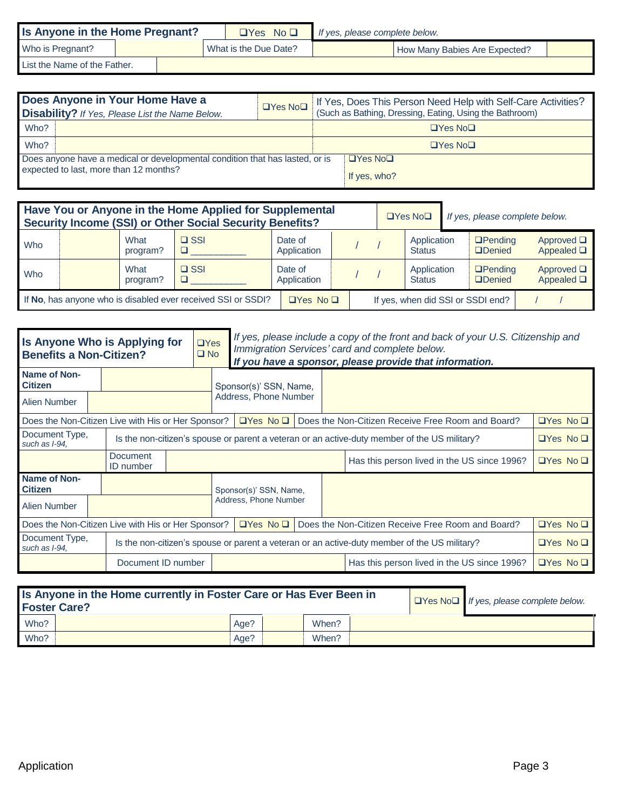| Is Anyone in the Home Pregnant? |  |  |  | $\Box$ Yes No $\Box$  | If yes, please complete below. |                               |  |  |  |
|---------------------------------|--|--|--|-----------------------|--------------------------------|-------------------------------|--|--|--|
| Who is Pregnant?                |  |  |  | What is the Due Date? |                                | How Many Babies Are Expected? |  |  |  |
| List the Name of the Father.    |  |  |  |                       |                                |                               |  |  |  |

| Does Anyone in Your Home Have a<br><b>Disability?</b> If Yes, Please List the Name Below.                              | $\Box$ Yes No $\Box$ | If Yes, Does This Person Need Help with Self-Care Activities?<br>(Such as Bathing, Dressing, Eating, Using the Bathroom) |
|------------------------------------------------------------------------------------------------------------------------|----------------------|--------------------------------------------------------------------------------------------------------------------------|
| Who?                                                                                                                   |                      | $\Box$ Yes No $\Box$                                                                                                     |
| Who?                                                                                                                   |                      | $\Box$ Yes No $\Box$                                                                                                     |
| Does anyone have a medical or developmental condition that has lasted, or is<br>expected to last, more than 12 months? |                      | $\Box$ Yes No $\Box$<br>If yes, who?                                                                                     |

| Have You or Anyone in the Home Applied for Supplemental<br>Security Income (SSI) or Other Social Security Benefits? |                                                              | If yes, please complete below. |                        |  |  |                              |  |                                   |                                    |
|---------------------------------------------------------------------------------------------------------------------|--------------------------------------------------------------|--------------------------------|------------------------|--|--|------------------------------|--|-----------------------------------|------------------------------------|
| Who                                                                                                                 | What<br>program?                                             | $\Box$ SSI                     | Date of<br>Application |  |  | Application<br><b>Status</b> |  | $D$ Pending<br><b>ODenied</b>     | Approved $\Box$<br>Appealed $\Box$ |
| Who                                                                                                                 | What<br>program?                                             | $\Box$ SSI                     | Date of<br>Application |  |  | Application<br><b>Status</b> |  | $D$ Pending<br><b>ODenied</b>     | Approved $\Box$<br>Appealed $\Box$ |
|                                                                                                                     | If No, has anyone who is disabled ever received SSI or SSDI? |                                |                        |  |  |                              |  | If yes, when did SSI or SSDI end? |                                    |

| Is Anyone Who is Applying for<br><b>Benefits a Non-Citizen?</b> |                              |  | $\Box$ Yes<br>$\Box$ No | If yes, please include a copy of the front and back of your U.S. Citizenship and<br>Immigration Services' card and complete below.<br>If you have a sponsor, please provide that information. |                      |  |                                                                                              |                      |
|-----------------------------------------------------------------|------------------------------|--|-------------------------|-----------------------------------------------------------------------------------------------------------------------------------------------------------------------------------------------|----------------------|--|----------------------------------------------------------------------------------------------|----------------------|
| Name of Non-<br><b>Citizen</b>                                  |                              |  | Sponsor(s)' SSN, Name,  |                                                                                                                                                                                               |                      |  |                                                                                              |                      |
| Alien Number                                                    |                              |  |                         | Address, Phone Number                                                                                                                                                                         |                      |  |                                                                                              |                      |
| Does the Non-Citizen Live with His or Her Sponsor?              |                              |  |                         | $\Box$ Yes No $\Box$                                                                                                                                                                          |                      |  | Does the Non-Citizen Receive Free Room and Board?                                            | $\Box$ Yes No $\Box$ |
| Document Type,<br>such as I-94.                                 |                              |  |                         | Is the non-citizen's spouse or parent a veteran or an active-duty member of the US military?                                                                                                  | $\Box$ Yes No $\Box$ |  |                                                                                              |                      |
|                                                                 | Document<br><b>ID</b> number |  |                         |                                                                                                                                                                                               |                      |  | Has this person lived in the US since 1996?                                                  | $\Box$ Yes No $\Box$ |
| Name of Non-<br><b>Citizen</b><br>Alien Number                  |                              |  |                         | Sponsor(s)' SSN, Name,<br>Address, Phone Number                                                                                                                                               |                      |  |                                                                                              |                      |
| Does the Non-Citizen Live with His or Her Sponsor?              |                              |  |                         | $\Box$ Yes No $\Box$                                                                                                                                                                          |                      |  | Does the Non-Citizen Receive Free Room and Board?                                            | $\Box$ Yes No $\Box$ |
| Document Type,<br>such as I-94.                                 |                              |  |                         |                                                                                                                                                                                               |                      |  | Is the non-citizen's spouse or parent a veteran or an active-duty member of the US military? | $\Box$ Yes No $\Box$ |
|                                                                 | Document ID number           |  |                         |                                                                                                                                                                                               |                      |  | Has this person lived in the US since 1996?                                                  | $\Box$ Yes No $\Box$ |

| Is Anyone in the Home currently in Foster Care or Has Ever Been in<br><b>Foster Care?</b> | $\Box$ Yes No $\Box$ If yes, please complete below. |       |  |  |
|-------------------------------------------------------------------------------------------|-----------------------------------------------------|-------|--|--|
| Who?                                                                                      | Age?                                                | When? |  |  |
| Who?                                                                                      | Age?                                                | When? |  |  |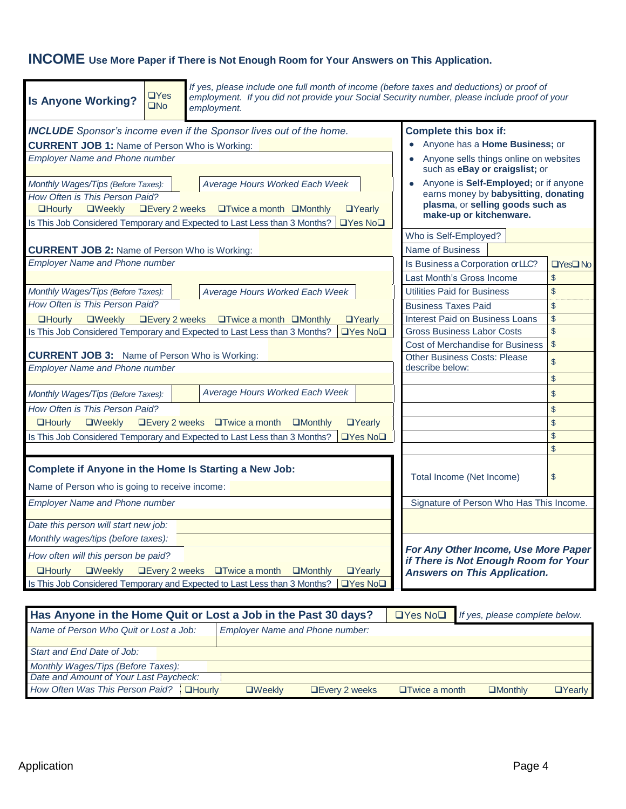# **INCOME Use More Paper if There is Not Enough Room for Your Answers on This Application.**

| <b>Is Anyone Working?</b>                                                                     | $\Box$ Yes<br>$\square$ No | If yes, please include one full month of income (before taxes and deductions) or proof of<br>employment. If you did not provide your Social Security number, please include proof of your<br>employment. |                                                                             |                |  |  |  |  |
|-----------------------------------------------------------------------------------------------|----------------------------|----------------------------------------------------------------------------------------------------------------------------------------------------------------------------------------------------------|-----------------------------------------------------------------------------|----------------|--|--|--|--|
|                                                                                               |                            | <b>INCLUDE</b> Sponsor's income even if the Sponsor lives out of the home.                                                                                                                               | <b>Complete this box if:</b>                                                |                |  |  |  |  |
| <b>CURRENT JOB 1: Name of Person Who is Working:</b>                                          |                            |                                                                                                                                                                                                          | Anyone has a Home Business; or                                              |                |  |  |  |  |
| <b>Employer Name and Phone number</b>                                                         |                            |                                                                                                                                                                                                          | Anyone sells things online on websites                                      |                |  |  |  |  |
|                                                                                               |                            |                                                                                                                                                                                                          | such as eBay or craigslist; or                                              |                |  |  |  |  |
| Monthly Wages/Tips (Before Taxes):                                                            |                            | Average Hours Worked Each Week                                                                                                                                                                           | Anyone is Self-Employed; or if anyone                                       |                |  |  |  |  |
| How Often is This Person Paid?                                                                |                            |                                                                                                                                                                                                          | earns money by babysitting, donating<br>plasma, or selling goods such as    |                |  |  |  |  |
| <b>QHourly</b><br><b>OWeekly</b>                                                              | <b>QEvery 2 weeks</b>      | $\Box$ Twice a month $\Box$ Monthly<br>$\Box$ Yearly                                                                                                                                                     | make-up or kitchenware.                                                     |                |  |  |  |  |
|                                                                                               |                            | $\Box$ Yes No $\Box$<br>Is This Job Considered Temporary and Expected to Last Less than 3 Months?                                                                                                        |                                                                             |                |  |  |  |  |
|                                                                                               |                            |                                                                                                                                                                                                          | Who is Self-Employed?                                                       |                |  |  |  |  |
| <b>CURRENT JOB 2: Name of Person Who is Working:</b>                                          |                            |                                                                                                                                                                                                          | Name of Business                                                            |                |  |  |  |  |
| <b>Employer Name and Phone number</b>                                                         |                            |                                                                                                                                                                                                          | Is Business a Corporation or LLC?                                           | $T$ Yes $T$ No |  |  |  |  |
|                                                                                               |                            |                                                                                                                                                                                                          | Last Month's Gross Income                                                   | $\mathcal{S}$  |  |  |  |  |
| Monthly Wages/Tips (Before Taxes):                                                            |                            | Average Hours Worked Each Week                                                                                                                                                                           | Utilities Paid for Business                                                 | \$             |  |  |  |  |
| How Often is This Person Paid?                                                                |                            |                                                                                                                                                                                                          | <b>Business Taxes Paid</b>                                                  | $\mathfrak{S}$ |  |  |  |  |
| <b>QHourly</b><br>$\square$ Weekly                                                            |                            | □Every 2 weeks □Twice a month □Monthly<br><b>O</b> Yearly                                                                                                                                                | Interest Paid on Business Loans                                             | $\mathbb{S}$   |  |  |  |  |
|                                                                                               |                            | Is This Job Considered Temporary and Expected to Last Less than 3 Months?<br><b>□Yes No</b> □                                                                                                            | <b>Gross Business Labor Costs</b>                                           | $\mathsf{\$}$  |  |  |  |  |
|                                                                                               |                            |                                                                                                                                                                                                          | <b>Cost of Merchandise for Business</b>                                     | $\mathbb{S}$   |  |  |  |  |
| <b>CURRENT JOB 3:</b> Name of Person Who is Working:<br><b>Employer Name and Phone number</b> |                            |                                                                                                                                                                                                          | <b>Other Business Costs: Please</b><br>describe below:                      | $\mathcal{S}$  |  |  |  |  |
|                                                                                               |                            |                                                                                                                                                                                                          |                                                                             | $\sqrt{2}$     |  |  |  |  |
| Monthly Wages/Tips (Before Taxes):                                                            |                            | Average Hours Worked Each Week                                                                                                                                                                           |                                                                             | $\mathsf{\$}$  |  |  |  |  |
| How Often is This Person Paid?                                                                |                            |                                                                                                                                                                                                          |                                                                             | $\mathsf{\$}$  |  |  |  |  |
| <b>QHourly</b><br>$\Box$ Weekly                                                               |                            | $\Box$ Every 2 weeks $\Box$ Twice a month<br><b>O</b> Yearly<br><b>QMonthly</b>                                                                                                                          |                                                                             | $\mathsf{\$}$  |  |  |  |  |
|                                                                                               |                            | Is This Job Considered Temporary and Expected to Last Less than 3 Months?<br>$\Box$ Yes No $\Box$                                                                                                        |                                                                             | $\mathbb{S}$   |  |  |  |  |
|                                                                                               |                            |                                                                                                                                                                                                          |                                                                             | $\mathbb{S}$   |  |  |  |  |
| Complete if Anyone in the Home Is Starting a New Job:                                         |                            |                                                                                                                                                                                                          | Total Income (Net Income)                                                   | $\mathsf{\$}$  |  |  |  |  |
| Name of Person who is going to receive income:                                                |                            |                                                                                                                                                                                                          |                                                                             |                |  |  |  |  |
| <b>Employer Name and Phone number</b>                                                         |                            |                                                                                                                                                                                                          | Signature of Person Who Has This Income.                                    |                |  |  |  |  |
| Date this person will start new job:                                                          |                            |                                                                                                                                                                                                          |                                                                             |                |  |  |  |  |
| Monthly wages/tips (before taxes):                                                            |                            |                                                                                                                                                                                                          |                                                                             |                |  |  |  |  |
| How often will this person be paid?                                                           |                            |                                                                                                                                                                                                          | For Any Other Income, Use More Paper                                        |                |  |  |  |  |
| <b>QHourly</b><br><b>OWeekly</b>                                                              |                            | $\Box$ Every 2 weeks $\Box$ Twice a month<br><b>OYearly</b><br><b>UMonthly</b>                                                                                                                           | if There is Not Enough Room for Your<br><b>Answers on This Application.</b> |                |  |  |  |  |
|                                                                                               |                            | Is This Job Considered Temporary and Expected to Last Less than 3 Months?<br>$\Box$ Yes No $\Box$                                                                                                        |                                                                             |                |  |  |  |  |
|                                                                                               |                            |                                                                                                                                                                                                          |                                                                             |                |  |  |  |  |

| Has Anyone in the Home Quit or Lost a Job in the Past 30 days? |  |         |                                        |                   | $\Box$ Yes No $\Box$ If yes, please complete below. |  |  |  |  |  |
|----------------------------------------------------------------|--|---------|----------------------------------------|-------------------|-----------------------------------------------------|--|--|--|--|--|
| Name of Person Who Quit or Lost a Job:                         |  |         | <b>Employer Name and Phone number:</b> |                   |                                                     |  |  |  |  |  |
|                                                                |  |         |                                        |                   |                                                     |  |  |  |  |  |
| Start and End Date of Job:                                     |  |         |                                        |                   |                                                     |  |  |  |  |  |
| Monthly Wages/Tips (Before Taxes):                             |  |         |                                        |                   |                                                     |  |  |  |  |  |
| Date and Amount of Your Last Paycheck:                         |  |         |                                        |                   |                                                     |  |  |  |  |  |
| How Often Was This Person Paid? <b>QHourly</b>                 |  | JWeekl∨ | <b>LEvery 2 weeks</b>                  | □ □ Twice a month | LMonthiv                                            |  |  |  |  |  |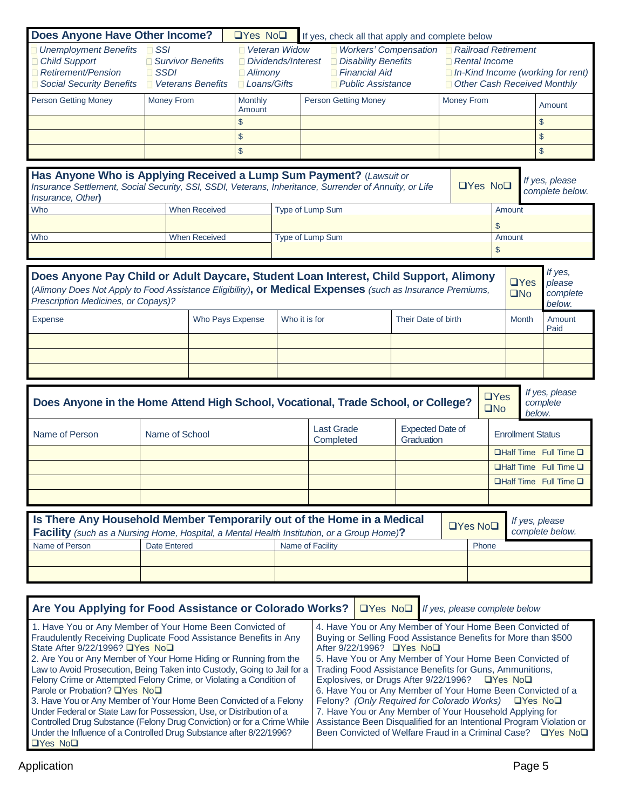| <b>Unemployment Benefits</b>                                                                                                                                                                                                                                                                           |                           | <b>Does Anyone Have Other Income?</b>                 | $\Box$ Yes No $\Box$ |               | If yes, check all that apply and complete below                                                                                                                                                  |                                       |                               |                                                                                          |                          |                                      |
|--------------------------------------------------------------------------------------------------------------------------------------------------------------------------------------------------------------------------------------------------------------------------------------------------------|---------------------------|-------------------------------------------------------|----------------------|---------------|--------------------------------------------------------------------------------------------------------------------------------------------------------------------------------------------------|---------------------------------------|-------------------------------|------------------------------------------------------------------------------------------|--------------------------|--------------------------------------|
| Child Support<br>Retirement/Pension<br>Social Security Benefits                                                                                                                                                                                                                                        | $\Box$ SSI<br>$\Box$ SSDI | Survivor Benefits<br>$\blacksquare$ Veterans Benefits |                      |               | ■ Workers' Compensation ■ Railroad Retirement<br>Veteran Widow<br>Disability Benefits<br>Dividends/Interest<br>$\Box$ Financial Aid<br><b>Alimony</b><br>Loans/Gifts<br><b>Public Assistance</b> |                                       |                               | $\Box$ Rental Income<br>In-Kind Income (working for rent)<br>Other Cash Received Monthly |                          |                                      |
| <b>Person Getting Money</b>                                                                                                                                                                                                                                                                            | Money From                |                                                       | Monthly<br>Amount    |               | <b>Person Getting Money</b>                                                                                                                                                                      |                                       | Money From                    |                                                                                          |                          | Amount                               |
|                                                                                                                                                                                                                                                                                                        |                           |                                                       | $\mathcal{S}$        |               |                                                                                                                                                                                                  |                                       |                               |                                                                                          |                          | \$                                   |
|                                                                                                                                                                                                                                                                                                        |                           |                                                       | $$\mathbb{S}$$       |               |                                                                                                                                                                                                  |                                       |                               |                                                                                          |                          | \$                                   |
|                                                                                                                                                                                                                                                                                                        |                           |                                                       | $\$\$                |               |                                                                                                                                                                                                  |                                       |                               |                                                                                          |                          | \$                                   |
| Has Anyone Who is Applying Received a Lump Sum Payment? (Lawsuit or<br>Insurance Settlement, Social Security, SSI, SSDI, Veterans, Inheritance, Surrender of Annuity, or Life<br>Insurance, Other)                                                                                                     |                           |                                                       |                      |               |                                                                                                                                                                                                  |                                       |                               | $\Box$ Yes No $\Box$                                                                     |                          | If yes, please<br>complete below.    |
| Who                                                                                                                                                                                                                                                                                                    |                           | <b>When Received</b>                                  |                      |               | Type of Lump Sum                                                                                                                                                                                 |                                       |                               | \$                                                                                       | Amount                   |                                      |
| Who                                                                                                                                                                                                                                                                                                    |                           | <b>When Received</b>                                  |                      |               | Type of Lump Sum                                                                                                                                                                                 |                                       |                               |                                                                                          | Amount                   |                                      |
|                                                                                                                                                                                                                                                                                                        |                           |                                                       |                      |               |                                                                                                                                                                                                  |                                       |                               | \$                                                                                       |                          |                                      |
| If yes,<br>Does Anyone Pay Child or Adult Daycare, Student Loan Interest, Child Support, Alimony<br>$\Box$ Yes<br>please<br>(Alimony Does Not Apply to Food Assistance Eligibility), or Medical Expenses (such as Insurance Premiums,<br>$\square$ No<br>Prescription Medicines, or Copays)?<br>below. |                           |                                                       |                      |               |                                                                                                                                                                                                  |                                       |                               | complete                                                                                 |                          |                                      |
| Expense                                                                                                                                                                                                                                                                                                |                           | Who Pays Expense                                      |                      | Who it is for |                                                                                                                                                                                                  |                                       | Their Date of birth           |                                                                                          | <b>Month</b>             | Amount<br>Paid                       |
|                                                                                                                                                                                                                                                                                                        |                           |                                                       |                      |               |                                                                                                                                                                                                  |                                       |                               |                                                                                          |                          |                                      |
|                                                                                                                                                                                                                                                                                                        |                           |                                                       |                      |               |                                                                                                                                                                                                  |                                       |                               |                                                                                          |                          |                                      |
|                                                                                                                                                                                                                                                                                                        |                           |                                                       |                      |               |                                                                                                                                                                                                  |                                       |                               |                                                                                          |                          |                                      |
| Does Anyone in the Home Attend High School, Vocational, Trade School, or College?                                                                                                                                                                                                                      |                           |                                                       |                      |               |                                                                                                                                                                                                  |                                       |                               | $\Box$ Yes<br>$\square$ No                                                               |                          | If yes, please<br>complete<br>below. |
| Name of Person                                                                                                                                                                                                                                                                                         | Name of School            |                                                       |                      |               | <b>Last Grade</b><br>Completed                                                                                                                                                                   | <b>Expected Date of</b><br>Graduation |                               |                                                                                          | <b>Enrollment Status</b> |                                      |
|                                                                                                                                                                                                                                                                                                        |                           |                                                       |                      |               |                                                                                                                                                                                                  |                                       |                               |                                                                                          |                          | $\Box$ Half Time Full Time $\Box$    |
|                                                                                                                                                                                                                                                                                                        |                           |                                                       |                      |               |                                                                                                                                                                                                  |                                       |                               |                                                                                          |                          | $\Box$ Half Time Full Time $\Box$    |
|                                                                                                                                                                                                                                                                                                        |                           |                                                       |                      |               |                                                                                                                                                                                                  |                                       |                               |                                                                                          |                          | <b>□Half Time</b> Full Time <b>□</b> |
|                                                                                                                                                                                                                                                                                                        |                           |                                                       |                      |               |                                                                                                                                                                                                  |                                       |                               |                                                                                          |                          |                                      |
| Is There Any Household Member Temporarily out of the Home in a Medical<br><b>Facility</b> (such as a Nursing Home, Hospital, a Mental Health Institution, or a Group Home)?                                                                                                                            |                           |                                                       |                      |               |                                                                                                                                                                                                  |                                       | $\Box$ Yes No $\Box$          |                                                                                          |                          | If yes, please<br>complete below.    |
| Name of Person                                                                                                                                                                                                                                                                                         | <b>Date Entered</b>       |                                                       |                      |               | Name of Facility                                                                                                                                                                                 |                                       |                               | Phone                                                                                    |                          |                                      |
|                                                                                                                                                                                                                                                                                                        |                           |                                                       |                      |               |                                                                                                                                                                                                  |                                       |                               |                                                                                          |                          |                                      |
|                                                                                                                                                                                                                                                                                                        |                           |                                                       |                      |               |                                                                                                                                                                                                  |                                       |                               |                                                                                          |                          |                                      |
| Are You Applying for Food Assistance or Colorado Works?<br>1. Have You or Any Member of Your Home Been Convicted of                                                                                                                                                                                    |                           |                                                       |                      |               | $\Box$ Yes No $\Box$<br>4. Have You or Any Member of Your Home Been Convicted of                                                                                                                 |                                       | If yes, please complete below |                                                                                          |                          |                                      |

**QYes NoQ** 

Under the Influence of a Controlled Drug Substance after 8/22/1996?

Been Convicted of Welfare Fraud in a Criminal Case? DYes NoD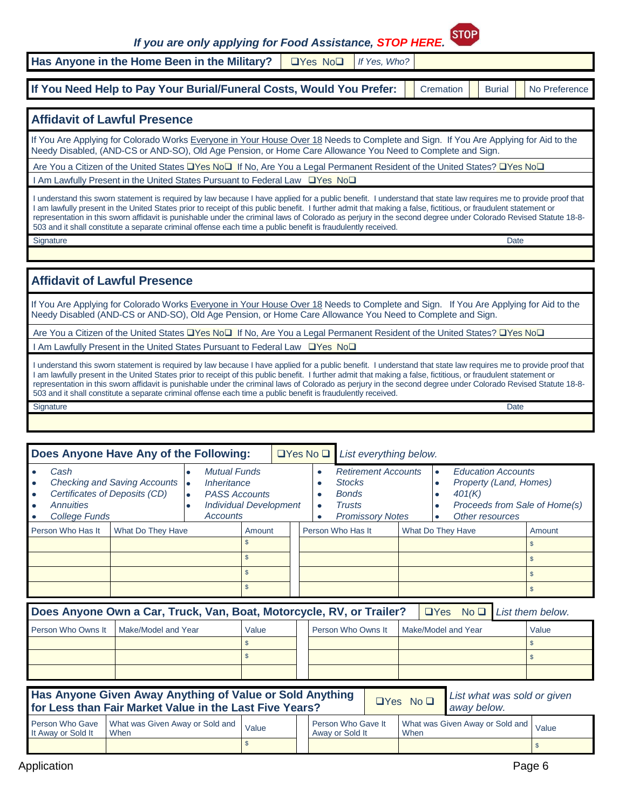*If you are only applying for Food Assistance, STOP HERE.*



Has Anyone in the Home Been in the Military? | **Noting No** *I* If Yes, Who?

**If You Need Help to Pay Your Burial/Funeral Costs, Would You Prefer:** Cremation Burial No Preference

### **Affidavit of Lawful Presence**

If You Are Applying for Colorado Works Everyone in Your House Over 18 Needs to Complete and Sign. If You Are Applying for Aid to the Needy Disabled, (AND-CS or AND-SO), Old Age Pension, or Home Care Allowance You Need to Complete and Sign.

Are You a Citizen of the United States Lates No If No, Are You a Legal Permanent Resident of the United States? Lates No Lates

I Am Lawfully Present in the United States Pursuant to Federal Law UYes Nou

I understand this sworn statement is required by law because I have applied for a public benefit. I understand that state law requires me to provide proof that I am lawfully present in the United States prior to receipt of this public benefit. I further admit that making a false, fictitious, or fraudulent statement or representation in this sworn affidavit is punishable under the criminal laws of Colorado as perjury in the second degree under Colorado Revised Statute 18-8- 503 and it shall constitute a separate criminal offense each time a public benefit is fraudulently received.

extending the state of the state of the state of the state of the state of the state of the state of the Date of the Date of the State of the State of the State of the State of the State of the State of the State of the St

#### **Affidavit of Lawful Presence**

If You Are Applying for Colorado Works Everyone in Your House Over 18 Needs to Complete and Sign. If You Are Applying for Aid to the Needy Disabled (AND-CS or AND-SO), Old Age Pension, or Home Care Allowance You Need to Complete and Sign.

Are You a Citizen of the United States Lates No If No, Are You a Legal Permanent Resident of the United States? Lates No Lates No D I Am Lawfully Present in the United States Pursuant to Federal Law TYes No<sup>1</sup>

I understand this sworn statement is required by law because I have applied for a public benefit. I understand that state law requires me to provide proof that I am lawfully present in the United States prior to receipt of this public benefit. I further admit that making a false, fictitious, or fraudulent statement or representation in this sworn affidavit is punishable under the criminal laws of Colorado as perjury in the second degree under Colorado Revised Statute 18-8- 503 and it shall constitute a separate criminal offense each time a public benefit is fraudulently received.

extending the control of the control of the control of the control of the control of the control of the control of the control of the control of the control of the control of the control of the control of the control of th

| Does Anyone Have Any of the Following:                                                                                          |                                                                                                  | $\Box$ Yes No $\Box$ List everything below. |                                                                                                  |                   |                                                                                                                   |        |
|---------------------------------------------------------------------------------------------------------------------------------|--------------------------------------------------------------------------------------------------|---------------------------------------------|--------------------------------------------------------------------------------------------------|-------------------|-------------------------------------------------------------------------------------------------------------------|--------|
| Cash<br>Checking and Saving Accounts •<br>Certificates of Deposits (CD)<br>$\bullet$<br>Annuities<br>$\bullet$<br>College Funds | Mutual Funds<br>Inheritance<br><b>PASS Accounts</b><br><b>Individual Development</b><br>Accounts | $\bullet$<br>с                              | <b>Retirement Accounts</b><br><b>Stocks</b><br><b>Bonds</b><br>Trusts<br><b>Promissory Notes</b> | $\bullet$         | <b>Education Accounts</b><br>Property (Land, Homes)<br>401(K)<br>Proceeds from Sale of Home(s)<br>Other resources |        |
| Person Who Has It<br>What Do They Have                                                                                          | Amount                                                                                           |                                             | Person Who Has It                                                                                | What Do They Have |                                                                                                                   | Amount |
|                                                                                                                                 |                                                                                                  |                                             |                                                                                                  |                   |                                                                                                                   |        |
|                                                                                                                                 |                                                                                                  |                                             |                                                                                                  |                   |                                                                                                                   |        |
|                                                                                                                                 | ж                                                                                                |                                             |                                                                                                  |                   |                                                                                                                   |        |
|                                                                                                                                 |                                                                                                  |                                             |                                                                                                  |                   |                                                                                                                   |        |

| $\Box$ Yes No $\Box$ List them below.<br>Does Anyone Own a Car, Truck, Van, Boat, Motorcycle, RV, or Trailer? |                     |       |  |                    |  |                     |  |  |       |  |
|---------------------------------------------------------------------------------------------------------------|---------------------|-------|--|--------------------|--|---------------------|--|--|-------|--|
| Person Who Owns It                                                                                            | Make/Model and Year | Value |  | Person Who Owns It |  | Make/Model and Year |  |  | Value |  |
|                                                                                                               |                     |       |  |                    |  |                     |  |  |       |  |

 $\bullet$  sets and the sets are sets as a set of the sets and the sets are sets as  $\bullet$  sets as  $\bullet$ 

| Has Anyone Given Away Anything of Value or Sold Anything<br>List what was sold or given<br>$\Box$ Yes No $\Box$<br>away below.<br>for Less than Fair Market Value in the Last Five Years? |                                         |       |                                       |  |      |                                 |       |  |
|-------------------------------------------------------------------------------------------------------------------------------------------------------------------------------------------|-----------------------------------------|-------|---------------------------------------|--|------|---------------------------------|-------|--|
| Person Who Gave<br>It Away or Sold It                                                                                                                                                     | What was Given Away or Sold and<br>When | Value | Person Who Gave It<br>Away or Sold It |  | When | What was Given Away or Sold and | Value |  |
|                                                                                                                                                                                           |                                         |       |                                       |  |      |                                 |       |  |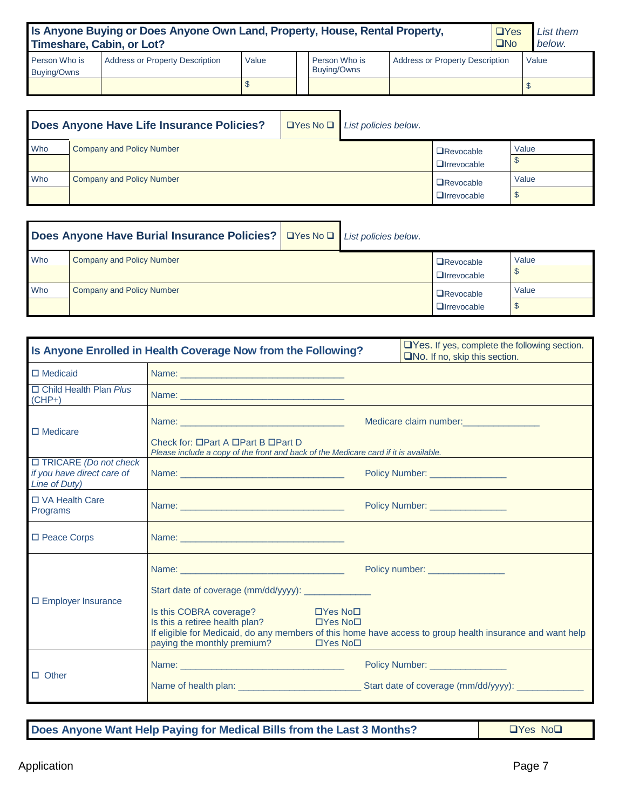| Is Anyone Buying or Does Anyone Own Land, Property, House, Rental Property,<br>$\Box$ Yes<br>Timeshare, Cabin, or Lot?<br>$\square$ No |                                        |       |  |                              |                                        |  |  | List them<br>below. |
|----------------------------------------------------------------------------------------------------------------------------------------|----------------------------------------|-------|--|------------------------------|----------------------------------------|--|--|---------------------|
| Person Who is<br>Buying/Owns                                                                                                           | <b>Address or Property Description</b> | Value |  | Person Who is<br>Buying/Owns | <b>Address or Property Description</b> |  |  | Value               |
|                                                                                                                                        |                                        |       |  |                              |                                        |  |  |                     |

|     | Does Anyone Have Life Insurance Policies? |  | $\Box$ Yes No $\Box$ List policies below.  |                                          |       |
|-----|-------------------------------------------|--|--------------------------------------------|------------------------------------------|-------|
| Who | <b>Company and Policy Number</b>          |  | <b>O</b> Revocable<br><b>Q</b> Irrevocable | Value                                    |       |
| Who | <b>Company and Policy Number</b>          |  |                                            | $\Box$ Revocable<br><b>Q</b> Irrevocable | Value |

|     | Does Anyone Have Burial Insurance Policies?   OYes No D   List policies below. |  |                                        |       |
|-----|--------------------------------------------------------------------------------|--|----------------------------------------|-------|
| Who | <b>Company and Policy Number</b>                                               |  | $\Box$ Revocable<br>$\Box$ Irrevocable | Value |
| Who | Company and Policy Number                                                      |  | $\Box$ Revocable<br>$\Box$ Irrevocable | Value |

| Is Anyone Enrolled in Health Coverage Now from the Following?               | $\Box$ Yes. If yes, complete the following section.<br>$\square$ No. If no, skip this section.                                                                                                                                                                                                                                                                            |                                                         |
|-----------------------------------------------------------------------------|---------------------------------------------------------------------------------------------------------------------------------------------------------------------------------------------------------------------------------------------------------------------------------------------------------------------------------------------------------------------------|---------------------------------------------------------|
| $\Box$ Medicaid                                                             |                                                                                                                                                                                                                                                                                                                                                                           |                                                         |
| □ Child Health Plan Plus<br>$(CHP+)$                                        | Name: <u>2000 - 2000 - 2000 - 2000 - 2000 - 2000 - 2000 - 2000 - 2000 - 2000 - 2000 - 2000 - 2000 - 2000 - 2000 - 2000 - 2000 - 2000 - 2000 - 2000 - 2000 - 2000 - 2000 - 2000 - 2000 - 2000 - 2000 - 2000 - 2000 - 2000 - 2000 </u>                                                                                                                                      |                                                         |
| $\Box$ Medicare                                                             | Check for: □Part A □Part B □Part D<br>Please include a copy of the front and back of the Medicare card if it is available.                                                                                                                                                                                                                                                | Medicare claim number:<br><u>Medicare</u> claim number: |
| $\Box$ TRICARE (Do not check<br>if you have direct care of<br>Line of Duty) |                                                                                                                                                                                                                                                                                                                                                                           | Policy Number: _________________                        |
| □ VA Health Care<br>Programs                                                |                                                                                                                                                                                                                                                                                                                                                                           | Policy Number: _________________                        |
| □ Peace Corps                                                               |                                                                                                                                                                                                                                                                                                                                                                           |                                                         |
| $\Box$ Employer Insurance                                                   | Start date of coverage (mm/dd/yyyy): _________________<br>Is this COBRA coverage?<br>$\Box$ Yes No $\Box$<br>Is this a retiree health plan?<br>$\Box$ Yes No $\Box$<br>If eligible for Medicaid, do any members of this home have access to group health insurance and want help<br>paying the monthly premium?<br><b>Example 19 Division Division Division Contracts</b> | Policy number: __________________                       |
| $\Box$ Other                                                                |                                                                                                                                                                                                                                                                                                                                                                           | Policy Number: ________________                         |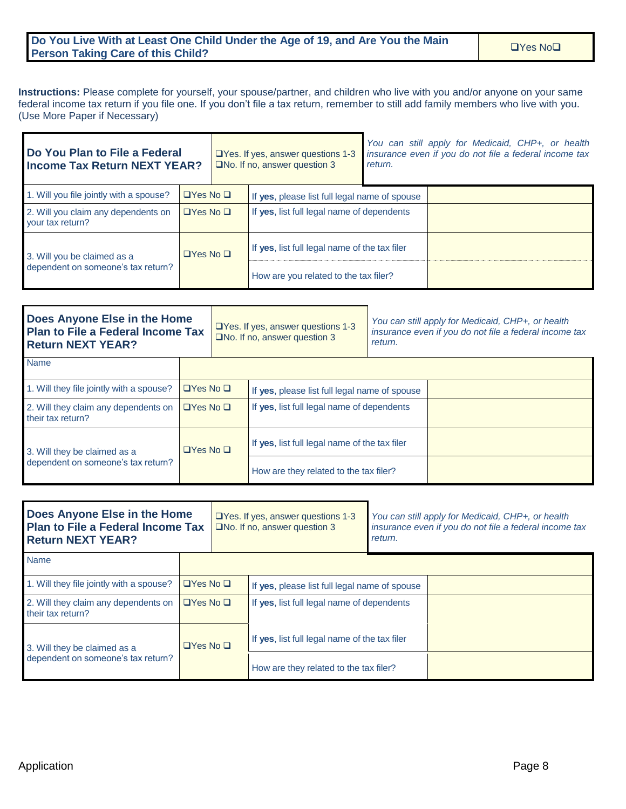#### **Do You Live With at Least One Child Under the Age of 19, and Are You the Main Portion Live with at Least One Child Onder the Age of 19, and Are You the Main Person Taking Care of this Child?**

**Instructions:** Please complete for yourself, your spouse/partner, and children who live with you and/or anyone on your same federal income tax return if you file one. If you don't file a tax return, remember to still add family members who live with you. (Use More Paper if Necessary)

| Do You Plan to File a Federal<br><b>Income Tax Return NEXT YEAR?</b>            |                      |                      | $\Box$ Yes. If yes, answer questions 1-3<br>$\square$ No. If no, answer question 3 | return. | You can still apply for Medicaid, CHP+, or health<br>insurance even if you do not file a federal income tax |
|---------------------------------------------------------------------------------|----------------------|----------------------|------------------------------------------------------------------------------------|---------|-------------------------------------------------------------------------------------------------------------|
| 1. Will you file jointly with a spouse?                                         | $\Box$ Yes No $\Box$ |                      | If yes, please list full legal name of spouse                                      |         |                                                                                                             |
| 2. Will you claim any dependents on<br>$\Box$ Yes No $\Box$<br>your tax return? |                      |                      | If yes, list full legal name of dependents                                         |         |                                                                                                             |
| 3. Will you be claimed as a<br>dependent on someone's tax return?               |                      | $\Box$ Yes No $\Box$ | If yes, list full legal name of the tax filer                                      |         |                                                                                                             |
|                                                                                 |                      |                      | How are you related to the tax filer?                                              |         |                                                                                                             |

| Does Anyone Else in the Home<br>Plan to File a Federal Income Tax<br><b>Return NEXT YEAR?</b> |                      | $\Box$ Yes. If yes, answer questions 1-3<br>$\square$ No. If no, answer question 3 |                                               | You can still apply for Medicaid, CHP+, or health<br>insurance even if you do not file a federal income tax<br>return. |  |  |
|-----------------------------------------------------------------------------------------------|----------------------|------------------------------------------------------------------------------------|-----------------------------------------------|------------------------------------------------------------------------------------------------------------------------|--|--|
| <b>Name</b>                                                                                   |                      |                                                                                    |                                               |                                                                                                                        |  |  |
| 1. Will they file jointly with a spouse?                                                      | $\Box$ Yes No $\Box$ |                                                                                    | If yes, please list full legal name of spouse |                                                                                                                        |  |  |
| 2. Will they claim any dependents on<br>their tax return?                                     | $\Box$ Yes No $\Box$ |                                                                                    | If yes, list full legal name of dependents    |                                                                                                                        |  |  |
| 3. Will they be claimed as a                                                                  | $\Box$ Yes No $\Box$ |                                                                                    | If yes, list full legal name of the tax filer |                                                                                                                        |  |  |
| dependent on someone's tax return?                                                            |                      |                                                                                    | How are they related to the tax filer?        |                                                                                                                        |  |  |

| Does Anyone Else in the Home<br><b>Plan to File a Federal Income Tax</b><br><b>Return NEXT YEAR?</b> |                      | $\Box$ Yes. If yes, answer questions 1-3<br>$\square$ No. If no, answer question 3 |                                               | You can still apply for Medicaid, CHP+, or health<br>insurance even if you do not file a federal income tax<br>return. |  |  |
|------------------------------------------------------------------------------------------------------|----------------------|------------------------------------------------------------------------------------|-----------------------------------------------|------------------------------------------------------------------------------------------------------------------------|--|--|
| <b>Name</b>                                                                                          |                      |                                                                                    |                                               |                                                                                                                        |  |  |
| 1. Will they file jointly with a spouse?                                                             | $\Box$ Yes No $\Box$ |                                                                                    | If yes, please list full legal name of spouse |                                                                                                                        |  |  |
| 2. Will they claim any dependents on<br>$\Box$ Yes No $\Box$<br>their tax return?                    |                      |                                                                                    | If yes, list full legal name of dependents    |                                                                                                                        |  |  |
| 3. Will they be claimed as a                                                                         | $\Box$ Yes No $\Box$ |                                                                                    | If yes, list full legal name of the tax filer |                                                                                                                        |  |  |
| dependent on someone's tax return?                                                                   |                      |                                                                                    | How are they related to the tax filer?        |                                                                                                                        |  |  |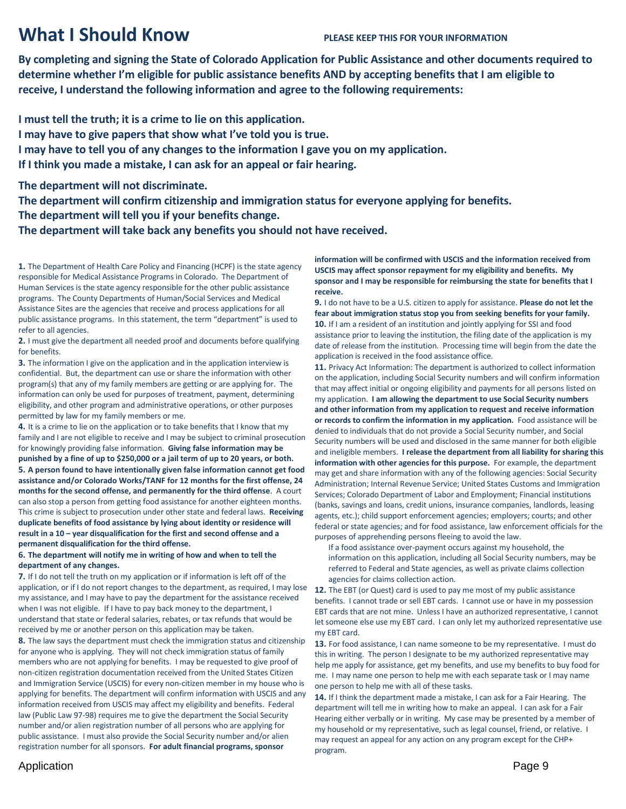## **What I Should Know PLEASE KEEP THIS FOR YOUR INFORMATION**

**By completing and signing the State of Colorado Application for Public Assistance and other documents required to determine whether I'm eligible for public assistance benefits AND by accepting benefits that I am eligible to receive, I understand the following information and agree to the following requirements:**

**I must tell the truth; it is a crime to lie on this application. I may have to give papers that show what I've told you is true. I may have to tell you of any changes to the information I gave you on my application. If I think you made a mistake, I can ask for an appeal or fair hearing.**

**The department will not discriminate.**

**The department will confirm citizenship and immigration status for everyone applying for benefits. The department will tell you if your benefits change.**

**The department will take back any benefits you should not have received.**

**1.** The Department of Health Care Policy and Financing (HCPF) is the state agency responsible for Medical Assistance Programs in Colorado. The Department of Human Services is the state agency responsible for the other public assistance programs. The County Departments of Human/Social Services and Medical Assistance Sites are the agencies that receive and process applications for all public assistance programs. In this statement, the term "department" is used to refer to all agencies.

**2.** I must give the department all needed proof and documents before qualifying for benefits.

**3.** The information I give on the application and in the application interview is confidential. But, the department can use or share the information with other program(s) that any of my family members are getting or are applying for. The information can only be used for purposes of treatment, payment, determining eligibility, and other program and administrative operations, or other purposes permitted by law for my family members or me.

**4.** It is a crime to lie on the application or to take benefits that I know that my family and I are not eligible to receive and I may be subject to criminal prosecution for knowingly providing false information. **Giving false information may be punished by a fine of up to \$250,000 or a jail term of up to 20 years, or both. 5. A person found to have intentionally given false information cannot get food assistance and/or Colorado Works/TANF for 12 months for the first offense, 24 months for the second offense, and permanently for the third offense**. A court can also stop a person from getting food assistance for another eighteen months. This crime is subject to prosecution under other state and federal laws. **Receiving duplicate benefits of food assistance by lying about identity or residence will result in a 10 – year disqualification for the first and second offense and a permanent disqualification for the third offense.**

#### **6. The department will notify me in writing of how and when to tell the department of any changes.**

**7.** If I do not tell the truth on my application or if information is left off of the application, or if I do not report changes to the department, as required, I may lose my assistance, and I may have to pay the department for the assistance received when I was not eligible. If I have to pay back money to the department, I understand that state or federal salaries, rebates, or tax refunds that would be received by me or another person on this application may be taken.

**8.** The law says the department must check the immigration status and citizenship for anyone who is applying. They will not check immigration status of family members who are not applying for benefits. I may be requested to give proof of non-citizen registration documentation received from the United States Citizen and Immigration Service (USCIS) for every non-citizen member in my house who is applying for benefits. The department will confirm information with USCIS and any information received from USCIS may affect my eligibility and benefits. Federal law (Public Law 97-98) requires me to give the department the Social Security number and/or alien registration number of all persons who are applying for public assistance. I must also provide the Social Security number and/or alien registration number for all sponsors. **For adult financial programs, sponsor** 

**information will be confirmed with USCIS and the information received from USCIS may affect sponsor repayment for my eligibility and benefits. My sponsor and I may be responsible for reimbursing the state for benefits that I receive.**

**9.** I do not have to be a U.S. citizen to apply for assistance. **Please do not let the fear about immigration status stop you from seeking benefits for your family. 10.** If I am a resident of an institution and jointly applying for SSI and food assistance prior to leaving the institution, the filing date of the application is my date of release from the institution. Processing time will begin from the date the application is received in the food assistance office.

**11.** Privacy Act Information: The department is authorized to collect information on the application, including Social Security numbers and will confirm information that may affect initial or ongoing eligibility and payments for all persons listed on my application. **I am allowing the department to use Social Security numbers and other information from my application to request and receive information or records to confirm the information in my application.** Food assistance will be denied to individuals that do not provide a Social Security number, and Social Security numbers will be used and disclosed in the same manner for both eligible and ineligible members. **I release the department from all liability for sharing this information with other agencies for this purpose.** For example, the department may get and share information with any of the following agencies: Social Security Administration; Internal Revenue Service; United States Customs and Immigration Services; Colorado Department of Labor and Employment; Financial institutions (banks, savings and loans, credit unions, insurance companies, landlords, leasing agents, etc.); child support enforcement agencies; employers; courts; and other federal or state agencies; and for food assistance, law enforcement officials for the purposes of apprehending persons fleeing to avoid the law.

If a food assistance over-payment occurs against my household, the information on this application, including all Social Security numbers, may be referred to Federal and State agencies, as well as private claims collection agencies for claims collection action.

**12.** The EBT (or Quest) card is used to pay me most of my public assistance benefits. I cannot trade or sell EBT cards. I cannot use or have in my possession EBT cards that are not mine. Unless I have an authorized representative, I cannot let someone else use my EBT card. I can only let my authorized representative use my EBT card.

**13.** For food assistance, I can name someone to be my representative. I must do this in writing. The person I designate to be my authorized representative may help me apply for assistance, get my benefits, and use my benefits to buy food for me. I may name one person to help me with each separate task or I may name one person to help me with all of these tasks.

**14.** If I think the department made a mistake, I can ask for a Fair Hearing. The department will tell me in writing how to make an appeal. I can ask for a Fair Hearing either verbally or in writing. My case may be presented by a member of my household or my representative, such as legal counsel, friend, or relative. I may request an appeal for any action on any program except for the CHP+ program.